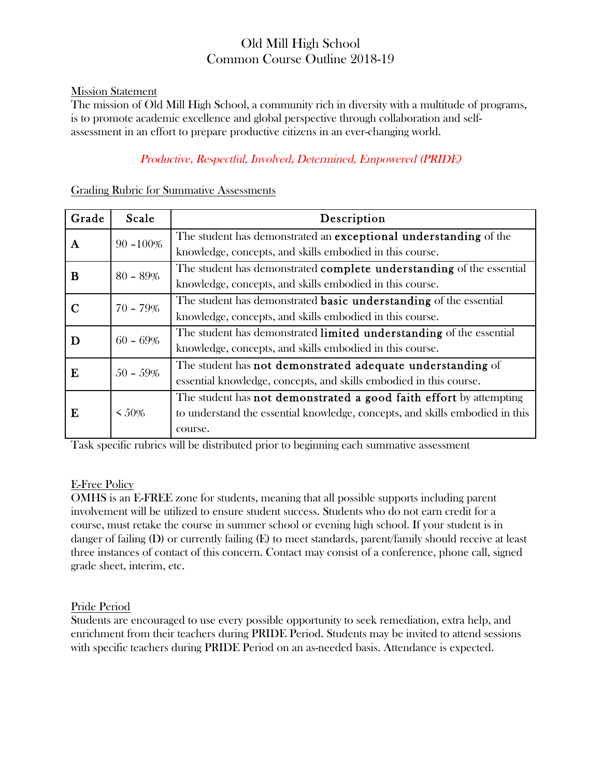# Old Mill High School Common Course Outline 2018-19

### Mission Statement

The mission of Old Mill High School, a community rich in diversity with a multitude of programs, is to promote academic excellence and global perspective through collaboration and selfassessment in an effort to prepare productive citizens in an ever-changing world.

# Productive, Respectful, Involved, Determined, Empowered (PRIDE)

| Grade       | Scale        | Description                                                                                                                                                          |
|-------------|--------------|----------------------------------------------------------------------------------------------------------------------------------------------------------------------|
| A           | $90 - 100\%$ | The student has demonstrated an <b>exceptional understanding</b> of the<br>knowledge, concepts, and skills embodied in this course.                                  |
| B           | $80 - 89\%$  | The student has demonstrated <b>complete understanding</b> of the essential<br>knowledge, concepts, and skills embodied in this course.                              |
| $\mathbf C$ | $70 - 79\%$  | The student has demonstrated <b>basic understanding</b> of the essential<br>knowledge, concepts, and skills embodied in this course.                                 |
| D           | $60 - 69\%$  | The student has demonstrated limited understanding of the essential<br>knowledge, concepts, and skills embodied in this course.                                      |
| E           | $50 - 59\%$  | The student has not demonstrated adequate understanding of<br>essential knowledge, concepts, and skills embodied in this course.                                     |
| E           | $\leq 50\%$  | The student has <b>not demonstrated a good faith effort</b> by attempting<br>to understand the essential knowledge, concepts, and skills embodied in this<br>course. |

#### Grading Rubric for Summative Assessments

Task specific rubrics will be distributed prior to beginning each summative assessment

## E-Free Policy

OMHS is an E-FREE zone for students, meaning that all possible supports including parent involvement will be utilized to ensure student success. Students who do not earn credit for a course, must retake the course in summer school or evening high school. If your student is in danger of failing (D) or currently failing (E) to meet standards, parent/family should receive at least three instances of contact of this concern. Contact may consist of a conference, phone call, signed grade sheet, interim, etc.

## Pride Period

Students are encouraged to use every possible opportunity to seek remediation, extra help, and enrichment from their teachers during PRIDE Period. Students may be invited to attend sessions with specific teachers during PRIDE Period on an as-needed basis. Attendance is expected.